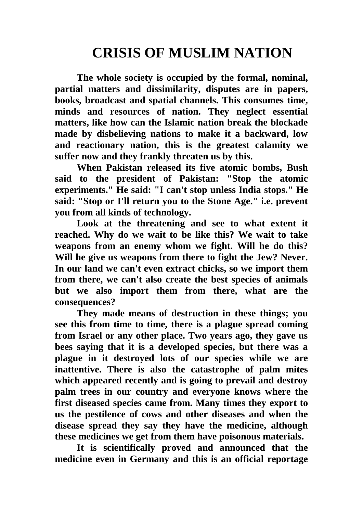## **CRISIS OF MUSLIM NATION**

**The whole society is occupied by the formal, nominal, partial matters and dissimilarity, disputes are in papers, books, broadcast and spatial channels. This consumes time, minds and resources of nation. They neglect essential matters, like how can the Islamic nation break the blockade made by disbelieving nations to make it a backward, low and reactionary nation, this is the greatest calamity we suffer now and they frankly threaten us by this.**

**When Pakistan released its five atomic bombs, Bush said to the president of Pakistan: "Stop the atomic experiments." He said: "I can't stop unless India stops." He said: "Stop or I'll return you to the Stone Age." i.e. prevent you from all kinds of technology.**

**Look at the threatening and see to what extent it reached. Why do we wait to be like this? We wait to take weapons from an enemy whom we fight. Will he do this? Will he give us weapons from there to fight the Jew? Never. In our land we can't even extract chicks, so we import them from there, we can't also create the best species of animals but we also import them from there, what are the consequences?**

**They made means of destruction in these things; you see this from time to time, there is a plague spread coming from Israel or any other place. Two years ago, they gave us bees saying that it is a developed species, but there was a plague in it destroyed lots of our species while we are inattentive. There is also the catastrophe of palm mites which appeared recently and is going to prevail and destroy palm trees in our country and everyone knows where the first diseased species came from. Many times they export to us the pestilence of cows and other diseases and when the disease spread they say they have the medicine, although these medicines we get from them have poisonous materials.**

**It is scientifically proved and announced that the medicine even in Germany and this is an official reportage**